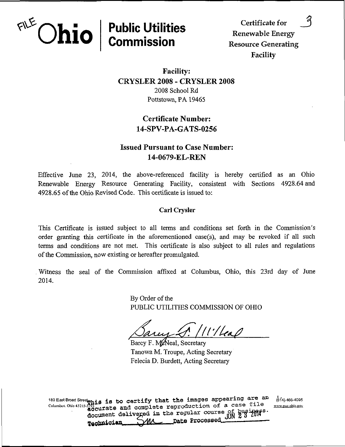

Facility

## Facility: CRYSLER 2008 - CRYSLER 2008 2008 School Rd Pottstown, PA 19465

# Certificate Number: 14-SPV-PA-GATS-0256

## Issued Pursuant to Case Number: 14-0679-EL-REN

Effective June 23, 2014, the above-referenced facility is hereby certified as an Ohio Renewable Energy Resource Generating Facility, consistent with Sections 4928.64 and 4928.65 of the Ohio Revised Code. This certificate is issued to:

#### Carl Crysler

This Certificate is issued subject to all terms and conditions set forth in the Commission's order granting this certificate in the aforementioned case(s), and may be revoked if all such terms and conditions are not met. This certificate is also subject to all rules and regulations of the Commission, now existing or hereafter promulgated.

Witness the seal of the Commission affixed at Columbus, Ohio, this 23rd day of June 2014.

> By Order of the PUBLIC UTILITIES COMMISSION OF OHIO

 $^{\prime}$ / $^{\prime}$ / $^{\prime}$ / $^{\prime}$ 

Barcy F. McNeal, Secretary Tanowa M. Troupe, Acting Secretary Felecia D. Burdett, Acting Secretary

180 East Broad Street<sub>n</sub><sub>116</sub> is to certify that the images appearing are an  $^{64}$ <sub>(6<sup>14</sup>)</sub> 466-4095<br>Columbus Ohio 43215-3292<sub>nn</sub>, while and complete reproduction of a case file www.puc.ohio.gov  $\frac{3793}{40}$ curate and complete reproduction of a case file document delive ged in the regular course of Technician MM \_\_ Date Processed.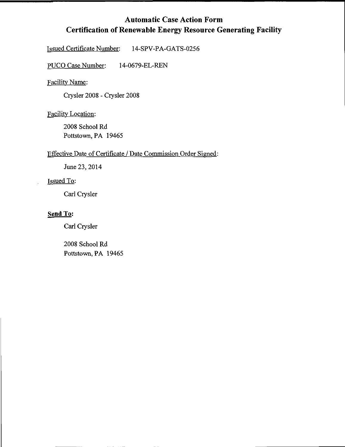# Automatic Case Action Form Certification of Renewable Energy Resource Generating Facility

Issued Certificate Number: 14-SPV-PA-GATS-0256

PUCO Case Number: 14-0679-EL-REN

Facility Name:

Crysler 2008 - Crysler 2008

Facility Location:

2008 School Rd Pottstown, PA 19465

## Effective Date of Certificate / Date Commission Order Signed:

June 23, 2014

### Issued To:

Carl Crysler

### Send To:

Carl Crysler

2008 School Rd Pottstown, PA 19465